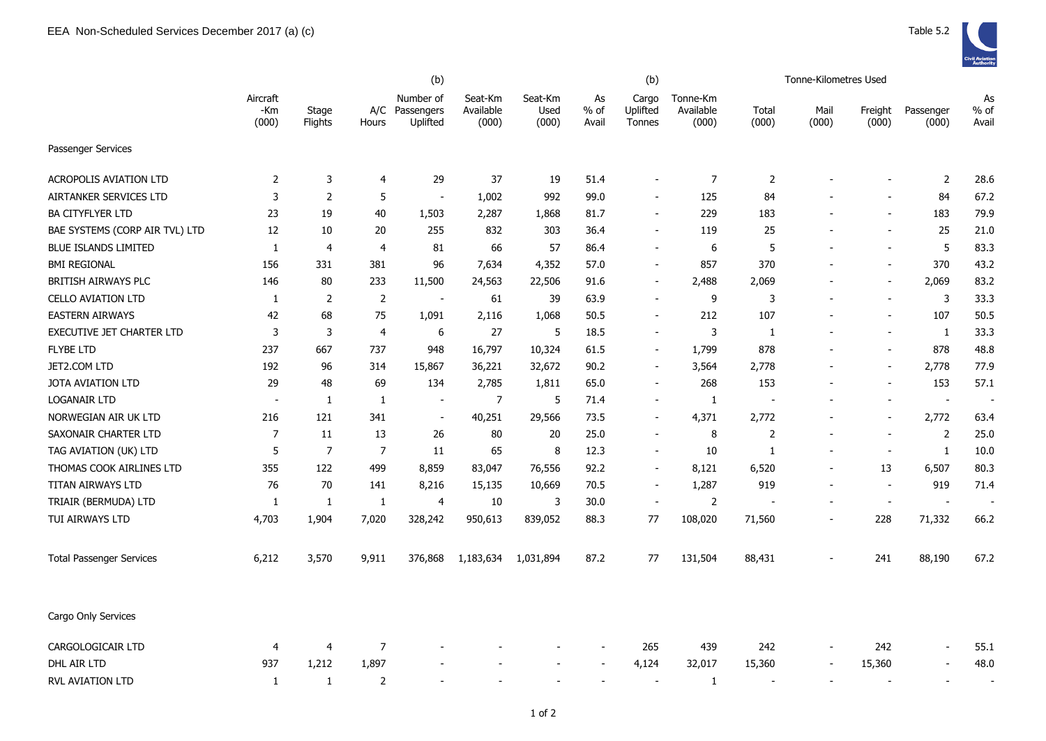|                                  |                          |                  | (b)            |                                         |                               |                          |                     | (b)                         |                                |                          | Tonne-Kilometres Used    |                          |                          |                          |
|----------------------------------|--------------------------|------------------|----------------|-----------------------------------------|-------------------------------|--------------------------|---------------------|-----------------------------|--------------------------------|--------------------------|--------------------------|--------------------------|--------------------------|--------------------------|
|                                  | Aircraft<br>-Km<br>(000) | Stage<br>Flights | Hours          | Number of<br>A/C Passengers<br>Uplifted | Seat-Km<br>Available<br>(000) | Seat-Km<br>Used<br>(000) | As<br>% of<br>Avail | Cargo<br>Uplifted<br>Tonnes | Tonne-Km<br>Available<br>(000) | Total<br>(000)           | Mail<br>(000)            | Freight<br>(000)         | Passenger<br>(000)       | As<br>$%$ of<br>Avail    |
| Passenger Services               |                          |                  |                |                                         |                               |                          |                     |                             |                                |                          |                          |                          |                          |                          |
| <b>ACROPOLIS AVIATION LTD</b>    | $\overline{2}$           | 3                | $\overline{4}$ | 29                                      | 37                            | 19                       | 51.4                |                             | 7                              | $\overline{2}$           |                          |                          | $\overline{2}$           | 28.6                     |
| AIRTANKER SERVICES LTD           | 3                        | $\overline{2}$   | 5              | $\overline{\phantom{a}}$                | 1,002                         | 992                      | 99.0                |                             | 125                            | 84                       |                          |                          | 84                       | 67.2                     |
| <b>BA CITYFLYER LTD</b>          | 23                       | 19               | 40             | 1,503                                   | 2,287                         | 1,868                    | 81.7                |                             | 229                            | 183                      |                          | $\overline{\phantom{a}}$ | 183                      | 79.9                     |
| BAE SYSTEMS (CORP AIR TVL) LTD   | 12                       | 10               | 20             | 255                                     | 832                           | 303                      | 36.4                |                             | 119                            | 25                       |                          |                          | 25                       | 21.0                     |
| <b>BLUE ISLANDS LIMITED</b>      | 1                        | $\overline{4}$   | $\overline{a}$ | 81                                      | 66                            | 57                       | 86.4                |                             | 6                              | 5                        |                          | $\overline{\phantom{a}}$ | 5                        | 83.3                     |
| <b>BMI REGIONAL</b>              | 156                      | 331              | 381            | 96                                      | 7,634                         | 4,352                    | 57.0                |                             | 857                            | 370                      |                          |                          | 370                      | 43.2                     |
| BRITISH AIRWAYS PLC              | 146                      | 80               | 233            | 11,500                                  | 24,563                        | 22,506                   | 91.6                |                             | 2,488                          | 2,069                    |                          | $\blacksquare$           | 2,069                    | 83.2                     |
| <b>CELLO AVIATION LTD</b>        | 1                        | 2                | 2              | $\overline{\phantom{a}}$                | 61                            | 39                       | 63.9                |                             | 9                              | 3                        | $\overline{a}$           | $\overline{\phantom{a}}$ | 3                        | 33.3                     |
| <b>EASTERN AIRWAYS</b>           | 42                       | 68               | 75             | 1,091                                   | 2,116                         | 1,068                    | 50.5                |                             | 212                            | 107                      |                          | $\blacksquare$           | 107                      | 50.5                     |
| <b>EXECUTIVE JET CHARTER LTD</b> | 3                        | $\mathbf{3}$     | $\overline{4}$ | 6                                       | 27                            | 5                        | 18.5                |                             | 3                              | 1                        |                          | $\blacksquare$           | -1                       | 33.3                     |
| <b>FLYBE LTD</b>                 | 237                      | 667              | 737            | 948                                     | 16,797                        | 10,324                   | 61.5                | $\overline{\phantom{a}}$    | 1,799                          | 878                      |                          | $\sim$                   | 878                      | 48.8                     |
| JET2.COM LTD                     | 192                      | 96               | 314            | 15,867                                  | 36,221                        | 32,672                   | 90.2                | $\overline{\phantom{a}}$    | 3,564                          | 2,778                    |                          | $\overline{\phantom{a}}$ | 2,778                    | 77.9                     |
| <b>JOTA AVIATION LTD</b>         | 29                       | 48               | 69             | 134                                     | 2,785                         | 1,811                    | 65.0                |                             | 268                            | 153                      |                          |                          | 153                      | 57.1                     |
| <b>LOGANAIR LTD</b>              |                          | 1                | $\mathbf{1}$   | $\overline{\phantom{a}}$                | $\overline{7}$                | 5                        | 71.4                |                             | 1                              | $\overline{\phantom{0}}$ |                          |                          | $\blacksquare$           | $\overline{\phantom{a}}$ |
| NORWEGIAN AIR UK LTD             | 216                      | 121              | 341            | $\overline{\phantom{a}}$                | 40,251                        | 29,566                   | 73.5                |                             | 4,371                          | 2,772                    |                          | $\overline{\phantom{a}}$ | 2,772                    | 63.4                     |
| SAXONAIR CHARTER LTD             | $\overline{7}$           | 11               | 13             | 26                                      | 80                            | 20                       | 25.0                |                             | 8                              | $\overline{2}$           |                          | $\overline{\phantom{a}}$ | $\overline{2}$           | 25.0                     |
| TAG AVIATION (UK) LTD            | 5                        | $\overline{7}$   | 7              | 11                                      | 65                            | 8                        | 12.3                |                             | 10                             | 1                        | $\overline{a}$           | $\overline{\phantom{a}}$ | $\mathbf{1}$             | 10.0                     |
| THOMAS COOK AIRLINES LTD         | 355                      | 122              | 499            | 8,859                                   | 83,047                        | 76,556                   | 92.2                |                             | 8,121                          | 6,520                    | $\overline{a}$           | 13                       | 6,507                    | 80.3                     |
| TITAN AIRWAYS LTD                | 76                       | 70               | 141            | 8,216                                   | 15,135                        | 10,669                   | 70.5                |                             | 1,287                          | 919                      |                          | $\blacksquare$           | 919                      | 71.4                     |
| TRIAIR (BERMUDA) LTD             | $\mathbf{1}$             | $\mathbf{1}$     | $\mathbf{1}$   | 4                                       | 10                            | 3                        | 30.0                | $\overline{\phantom{a}}$    | $\overline{2}$                 |                          |                          | $\overline{\phantom{a}}$ | $\overline{\phantom{a}}$ | $\overline{\phantom{a}}$ |
| TUI AIRWAYS LTD                  | 4,703                    | 1,904            | 7,020          | 328,242                                 | 950,613                       | 839,052                  | 88.3                | 77                          | 108,020                        | 71,560                   | $\overline{\phantom{0}}$ | 228                      | 71,332                   | 66.2                     |
| <b>Total Passenger Services</b>  | 6,212                    | 3,570            | 9,911          | 376,868                                 | 1,183,634                     | 1,031,894                | 87.2                | 77                          | 131,504                        | 88,431                   |                          | 241                      | 88,190                   | 67.2                     |
| Cargo Only Services              |                          |                  |                |                                         |                               |                          |                     |                             |                                |                          |                          |                          |                          |                          |
| CARGOLOGICAIR LTD                | 4                        | 4                | $\overline{7}$ |                                         |                               |                          |                     | 265                         | 439                            | 242                      |                          | 242                      | $\overline{\phantom{a}}$ | 55.1                     |
| DHL AIR LTD                      | 937                      | 1,212            | 1,897          |                                         |                               |                          |                     | 4,124                       | 32,017                         | 15,360                   |                          | 15,360                   |                          | 48.0                     |
| RVL AVIATION LTD                 | 1                        | 1                | 2              |                                         |                               |                          |                     |                             | 1                              |                          |                          |                          |                          |                          |